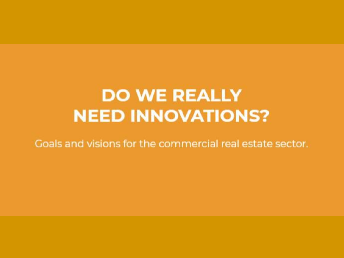## **DO WE REALLY NEED INNOVATIONS?**

Goals and visions for the commercial real estate sector.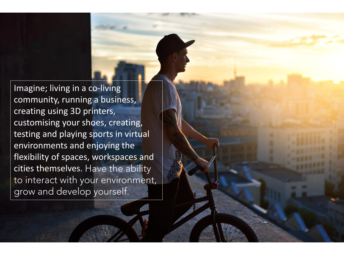Imagine; living in a co-living community, running a business, creating using 3D printers, customising your shoes, creating, testing and playing sports in virtual environments and enjoying the flexibility of spaces, workspaces and cities themselves. Have the ability to interact with your environment, grow and develop yourself.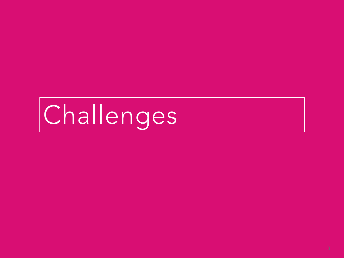# Challenges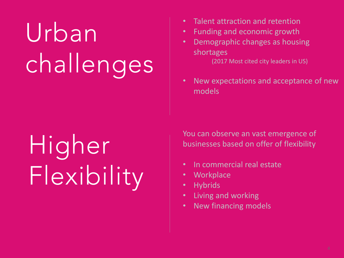# Urban challenges

- Talent attraction and retention
- Funding and economic growth
- Demographic changes as housing shortages

(2017 Most cited city leaders in US)

• New expectations and acceptance of new models

# Higher Flexibility

You can observe an vast emergence of businesses based on offer of flexibility

- In commercial real estate
- **Workplace**
- **Hybrids**
- Living and working
- New financing models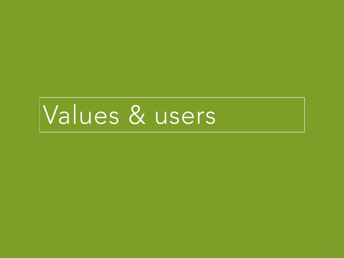## Values & users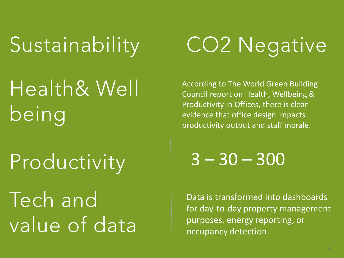Sustainability

## Health& Well being

Productivity

Tech and value of data

## **CO2 Negative**

According to The World Green Building Council report on Health, Wellbeing & Productivity in Offices, there is clear evidence that office design impacts productivity output and staff morale.

 $3 - 30 - 300$ 

Data is transformed into dashboards for day-to-day property management purposes, energy reporting, or occupancy detection.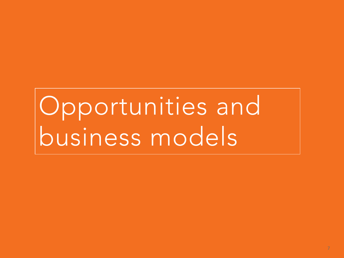# Opportunities and business models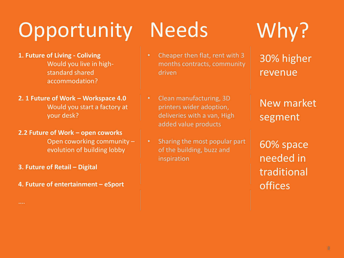## Opportunity Needs Why?

- **1. Future of Living - Coliving** Would you live in highstandard shared accommodation?
- **2. 1 Future of Work – Workspace 4.0** Would you start a factory at your desk?
- **2.2 Future of Work – open coworks** Open coworking community –

evolution of building lobby

**3. Future of Retail – Digital**

….

**4. Future of entertainment – eSport**

- Cheaper then flat, rent with 3 months contracts, community driven
- Clean manufacturing, 3D printers wider adoption, deliveries with a van, High added value products
- Sharing the most popular part of the building, buzz and inspiration

30% higher revenue

### New market segment

60% space needed in traditional offices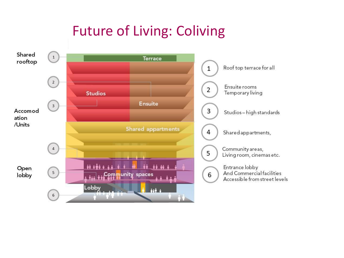## Future of Living: Coliving

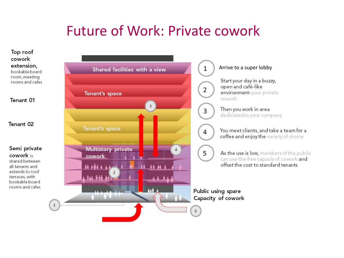### **Future of Work: Private cowork**

Top roof cowork extension. bookable board room, meeting rooms and cafes

Tenant 01

Tenant 02

Semi private cowork is shared between all tenants and extends to roof terraces, with

bookable board rooms and cafes



Shared facilities with a view

#### Arrive to a super lobby

Start your day in a buzzy, open and café-like environment-your private cowork

Then you work in area dedicated to your company

You meet clients, and take a team for a coffee and enjoy the variety of choice

As the use is low, members of the public can use the free capaciy of cowork and offset the cost to standard tenants

Public using spare Capacity of cowork

 $1$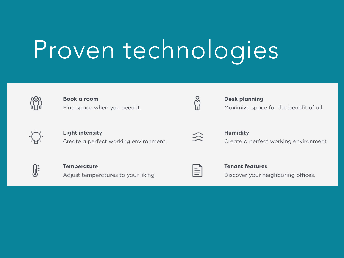# Proven technologies



#### Book a room Find space when you need it.



#### **Light intensity** Create a perfect working environment.



#### **Desk planning** Maximize space for the benefit of all.



### **Humidity**

Create a perfect working environment.



#### **Temperature** Adjust temperatures to your liking.

 $\equiv$ 

#### **Tenant features** Discover your neighboring offices.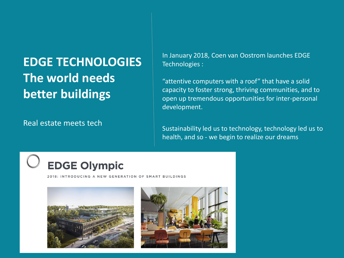### **EDGE TECHNOLOGIES The world needs better buildings**

Real estate meets tech

In January 2018, Coen van Oostrom launches EDGE Technologies :

"attentive computers with a roof" that have a solid capacity to foster strong, thriving communities, and to open up tremendous opportunities for inter-personal development.

Sustainability led us to technology, technology led us to health, and so - we begin to realize our dreams

### **EDGE Olympic**

2018: INTRODUCING A NEW GENERATION OF SMART BUILDINGS